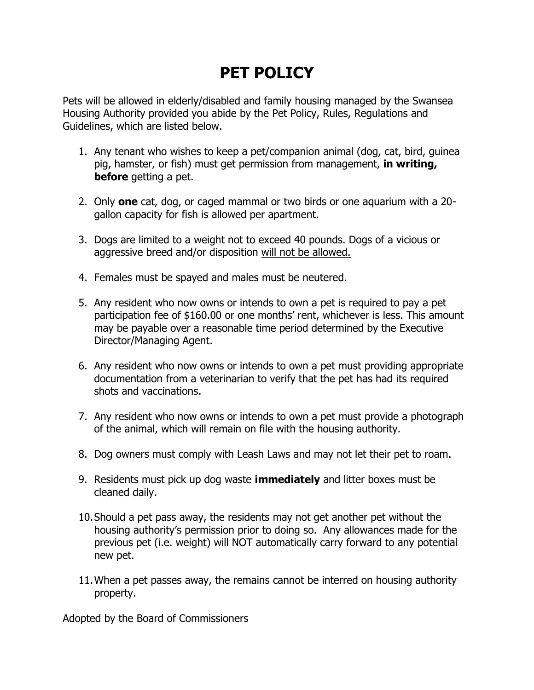## **PET POLICY**

Pets will be allowed in elderly/disabled and family housing managed by the Swansea Housing Authority provided you abide by the Pet Policy, Rules, Regulations and Guidelines, which are listed below.

- 1. Any tenant who wishes to keep a pet/companion animal (dog, cat, bird, guinea pig, hamster, or fish) must get permission from management, **in writing, before** getting a pet.
- 2. Only **one** cat, dog, or caged mammal or two birds or one aquarium with a 20 gallon capacity for fish is allowed per apartment.
- 3. Dogs are limited to a weight not to exceed 40 pounds. Dogs of a vicious or aggressive breed and/or disposition will not be allowed.
- 4. Females must be spayed and males must be neutered.
- 5. Any resident who now owns or intends to own a pet is required to pay a pet participation fee of \$160.00 or one months' rent, whichever is less. This amount may be payable over a reasonable time period determined by the Executive Director/Managing Agent.
- 6. Any resident who now owns or intends to own a pet must providing appropriate documentation from a veterinarian to verify that the pet has had its required shots and vaccinations.
- 7. Any resident who now owns or intends to own a pet must provide a photograph of the animal, which will remain on file with the housing authority.
- 8. Dog owners must comply with Leash Laws and may not let their pet to roam.
- 9. Residents must pick up dog waste **immediately** and litter boxes must be cleaned daily.
- 10.Should a pet pass away, the residents may not get another pet without the housing authority's permission prior to doing so. Any allowances made for the previous pet (i.e. weight) will NOT automatically carry forward to any potential new pet.
- 11.When a pet passes away, the remains cannot be interred on housing authority property.

Adopted by the Board of Commissioners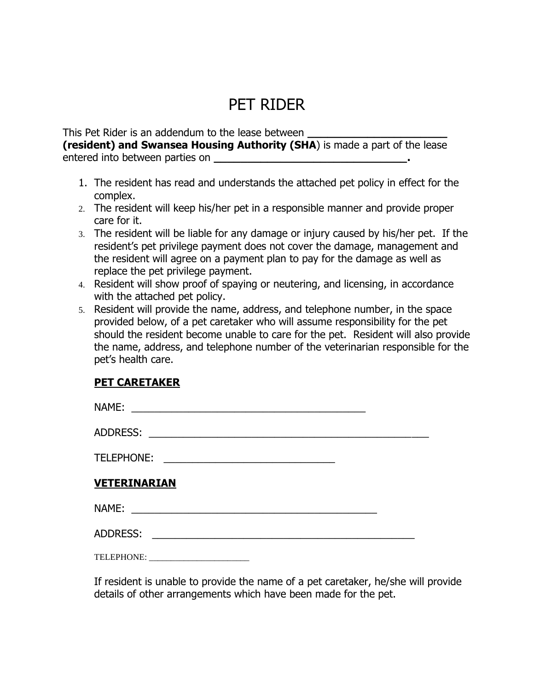## PET RIDER

This Pet Rider is an addendum to the lease between **\_\_\_\_\_\_\_\_\_\_\_\_\_\_\_\_\_\_\_\_\_ (resident) and Swansea Housing Authority (SHA**) is made a part of the lease entered into between parties on **\_\_\_\_\_\_\_\_\_\_\_\_\_\_\_\_\_\_\_\_\_\_\_\_\_\_\_\_\_.**

- 1. The resident has read and understands the attached pet policy in effect for the complex.
- 2. The resident will keep his/her pet in a responsible manner and provide proper care for it.
- 3. The resident will be liable for any damage or injury caused by his/her pet. If the resident's pet privilege payment does not cover the damage, management and the resident will agree on a payment plan to pay for the damage as well as replace the pet privilege payment.
- 4. Resident will show proof of spaying or neutering, and licensing, in accordance with the attached pet policy.
- 5. Resident will provide the name, address, and telephone number, in the space provided below, of a pet caretaker who will assume responsibility for the pet should the resident become unable to care for the pet. Resident will also provide the name, address, and telephone number of the veterinarian responsible for the pet's health care.

## **PET CARETAKER**

| NAME:                                                                                                                                       |  |
|---------------------------------------------------------------------------------------------------------------------------------------------|--|
| <b>ADDRESS:</b>                                                                                                                             |  |
| <b>TELEPHONE:</b><br><u> 1980 - Johann Johann Storm, meil in der Storm und der Storm und der Storm und der Storm und der Storm und der </u> |  |
| <b>VETERINARIAN</b>                                                                                                                         |  |
| NAME:<br><u> 1988 - Andrea Andrewski, amerikansk politik (d. 1988)</u>                                                                      |  |
| <b>ADDRESS:</b>                                                                                                                             |  |
|                                                                                                                                             |  |

If resident is unable to provide the name of a pet caretaker, he/she will provide details of other arrangements which have been made for the pet.